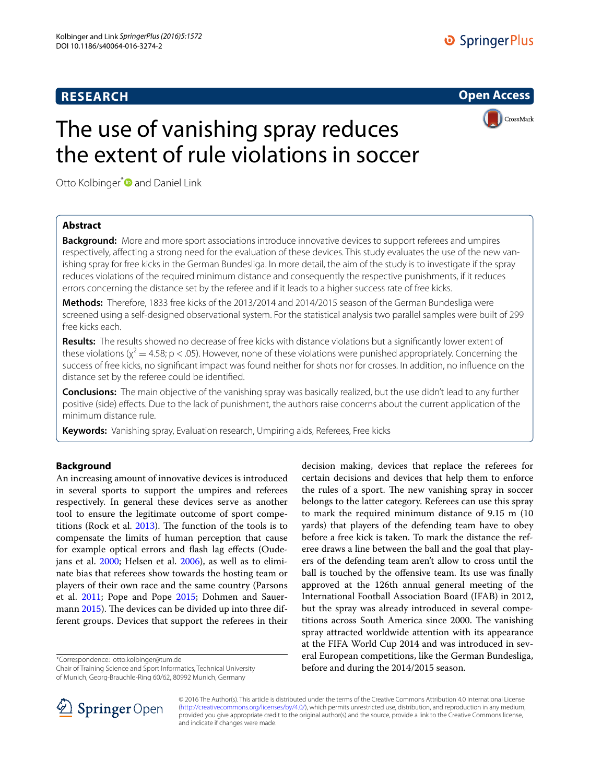## **RESEARCH**

**Open Access**



# The use of vanishing spray reduces the extent of rule violations in soccer

Otto Kolbinger<sup>\*</sup> and Daniel Link

## **Abstract**

**Background:** More and more sport associations introduce innovative devices to support referees and umpires respectively, affecting a strong need for the evaluation of these devices. This study evaluates the use of the new vanishing spray for free kicks in the German Bundesliga. In more detail, the aim of the study is to investigate if the spray reduces violations of the required minimum distance and consequently the respective punishments, if it reduces errors concerning the distance set by the referee and if it leads to a higher success rate of free kicks.

**Methods:** Therefore, 1833 free kicks of the 2013/2014 and 2014/2015 season of the German Bundesliga were screened using a self-designed observational system. For the statistical analysis two parallel samples were built of 299 free kicks each.

**Results:** The results showed no decrease of free kicks with distance violations but a significantly lower extent of these violations ( $\chi^2$  = 4.58; p < .05). However, none of these violations were punished appropriately. Concerning the success of free kicks, no significant impact was found neither for shots nor for crosses. In addition, no influence on the distance set by the referee could be identified.

**Conclusions:** The main objective of the vanishing spray was basically realized, but the use didn't lead to any further positive (side) effects. Due to the lack of punishment, the authors raise concerns about the current application of the minimum distance rule.

**Keywords:** Vanishing spray, Evaluation research, Umpiring aids, Referees, Free kicks

## **Background**

An increasing amount of innovative devices is introduced in several sports to support the umpires and referees respectively. In general these devices serve as another tool to ensure the legitimate outcome of sport competitions (Rock et al. [2013](#page-6-0)). The function of the tools is to compensate the limits of human perception that cause for example optical errors and flash lag effects (Oude-jans et al. [2000](#page-6-1); Helsen et al. [2006\)](#page-6-2), as well as to eliminate bias that referees show towards the hosting team or players of their own race and the same country (Parsons et al. [2011](#page-6-3); Pope and Pope [2015;](#page-6-4) Dohmen and Sauermann [2015](#page-6-5)). The devices can be divided up into three different groups. Devices that support the referees in their

\*Correspondence: otto.kolbinger@tum.de

Chair of Training Science and Sport Informatics, Technical University of Munich, Georg-Brauchle-Ring 60/62, 80992 Munich, Germany

decision making, devices that replace the referees for certain decisions and devices that help them to enforce the rules of a sport. The new vanishing spray in soccer belongs to the latter category. Referees can use this spray to mark the required minimum distance of 9.15 m (10 yards) that players of the defending team have to obey before a free kick is taken. To mark the distance the referee draws a line between the ball and the goal that players of the defending team aren't allow to cross until the ball is touched by the offensive team. Its use was finally approved at the 126th annual general meeting of the International Football Association Board (IFAB) in 2012, but the spray was already introduced in several competitions across South America since 2000. The vanishing spray attracted worldwide attention with its appearance at the FIFA World Cup 2014 and was introduced in several European competitions, like the German Bundesliga, before and during the 2014/2015 season.



© 2016 The Author(s). This article is distributed under the terms of the Creative Commons Attribution 4.0 International License [\(http://creativecommons.org/licenses/by/4.0/\)](http://creativecommons.org/licenses/by/4.0/), which permits unrestricted use, distribution, and reproduction in any medium, provided you give appropriate credit to the original author(s) and the source, provide a link to the Creative Commons license, and indicate if changes were made.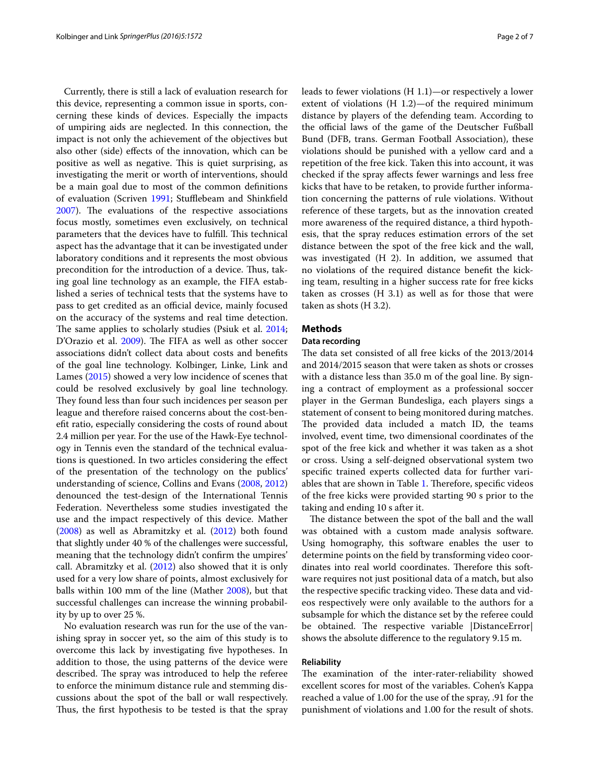Currently, there is still a lack of evaluation research for this device, representing a common issue in sports, concerning these kinds of devices. Especially the impacts of umpiring aids are neglected. In this connection, the impact is not only the achievement of the objectives but also other (side) effects of the innovation, which can be positive as well as negative. This is quiet surprising, as investigating the merit or worth of interventions, should be a main goal due to most of the common definitions of evaluation (Scriven [1991](#page-6-6); Stufflebeam and Shinkfield [2007](#page-6-7)). The evaluations of the respective associations focus mostly, sometimes even exclusively, on technical parameters that the devices have to fulfill. This technical aspect has the advantage that it can be investigated under laboratory conditions and it represents the most obvious precondition for the introduction of a device. Thus, taking goal line technology as an example, the FIFA established a series of technical tests that the systems have to pass to get credited as an official device, mainly focused on the accuracy of the systems and real time detection. The same applies to scholarly studies (Psiuk et al. [2014](#page-6-8); D'Orazio et al. [2009\)](#page-6-9). The FIFA as well as other soccer associations didn't collect data about costs and benefits of the goal line technology. Kolbinger, Linke, Link and Lames [\(2015\)](#page-6-10) showed a very low incidence of scenes that could be resolved exclusively by goal line technology. They found less than four such incidences per season per league and therefore raised concerns about the cost-benefit ratio, especially considering the costs of round about 2.4 million per year. For the use of the Hawk-Eye technology in Tennis even the standard of the technical evaluations is questioned. In two articles considering the effect of the presentation of the technology on the publics' understanding of science, Collins and Evans [\(2008,](#page-5-0) [2012](#page-5-1)) denounced the test-design of the International Tennis Federation. Nevertheless some studies investigated the use and the impact respectively of this device. Mather  $(2008)$  $(2008)$  as well as Abramitzky et al.  $(2012)$  $(2012)$  $(2012)$  both found that slightly under 40 % of the challenges were successful, meaning that the technology didn't confirm the umpires' call. Abramitzky et al. ([2012](#page-5-2)) also showed that it is only used for a very low share of points, almost exclusively for balls within 100 mm of the line (Mather [2008\)](#page-6-11), but that successful challenges can increase the winning probability by up to over 25 %.

No evaluation research was run for the use of the vanishing spray in soccer yet, so the aim of this study is to overcome this lack by investigating five hypotheses. In addition to those, the using patterns of the device were described. The spray was introduced to help the referee to enforce the minimum distance rule and stemming discussions about the spot of the ball or wall respectively. Thus, the first hypothesis to be tested is that the spray leads to fewer violations (H 1.1)—or respectively a lower extent of violations (H 1.2)—of the required minimum distance by players of the defending team. According to the official laws of the game of the Deutscher Fußball Bund (DFB, trans. German Football Association), these violations should be punished with a yellow card and a repetition of the free kick. Taken this into account, it was checked if the spray affects fewer warnings and less free kicks that have to be retaken, to provide further information concerning the patterns of rule violations. Without reference of these targets, but as the innovation created more awareness of the required distance, a third hypothesis, that the spray reduces estimation errors of the set distance between the spot of the free kick and the wall, was investigated (H 2). In addition, we assumed that no violations of the required distance benefit the kicking team, resulting in a higher success rate for free kicks taken as crosses (H 3.1) as well as for those that were taken as shots (H 3.2).

### **Methods**

#### **Data recording**

The data set consisted of all free kicks of the 2013/2014 and 2014/2015 season that were taken as shots or crosses with a distance less than 35.0 m of the goal line. By signing a contract of employment as a professional soccer player in the German Bundesliga, each players sings a statement of consent to being monitored during matches. The provided data included a match ID, the teams involved, event time, two dimensional coordinates of the spot of the free kick and whether it was taken as a shot or cross. Using a self-deigned observational system two specific trained experts collected data for further variables that are shown in Table [1](#page-2-0). Therefore, specific videos of the free kicks were provided starting 90 s prior to the taking and ending 10 s after it.

The distance between the spot of the ball and the wall was obtained with a custom made analysis software. Using homography, this software enables the user to determine points on the field by transforming video coordinates into real world coordinates. Therefore this software requires not just positional data of a match, but also the respective specific tracking video. These data and videos respectively were only available to the authors for a subsample for which the distance set by the referee could be obtained. The respective variable |DistanceError| shows the absolute difference to the regulatory 9.15 m.

#### **Reliability**

The examination of the inter-rater-reliability showed excellent scores for most of the variables. Cohen's Kappa reached a value of 1.00 for the use of the spray, .91 for the punishment of violations and 1.00 for the result of shots.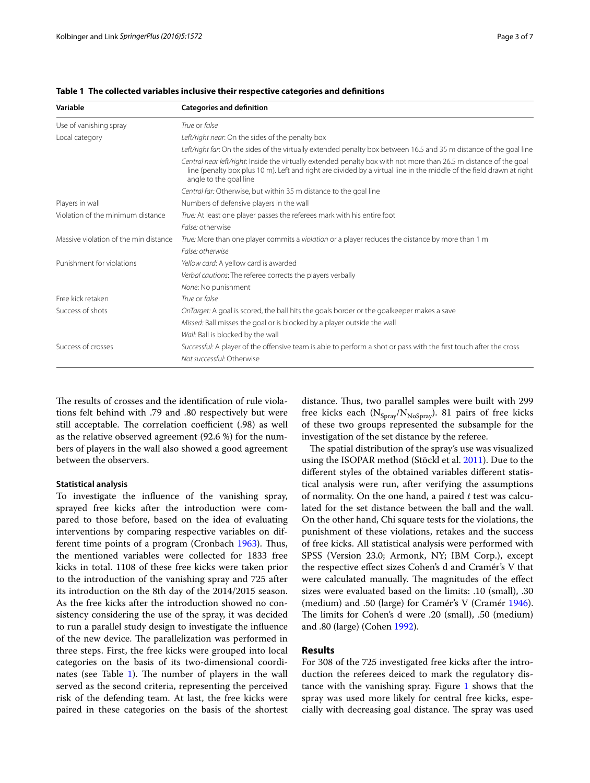| Variable                              | <b>Categories and definition</b>                                                                                                                                                                                                                                    |
|---------------------------------------|---------------------------------------------------------------------------------------------------------------------------------------------------------------------------------------------------------------------------------------------------------------------|
| Use of vanishing spray                | True or false                                                                                                                                                                                                                                                       |
| Local category                        | Left/right near: On the sides of the penalty box                                                                                                                                                                                                                    |
|                                       | Left/right far: On the sides of the virtually extended penalty box between 16.5 and 35 m distance of the goal line                                                                                                                                                  |
|                                       | Central near left/right: Inside the virtually extended penalty box with not more than 26.5 m distance of the goal<br>line (penalty box plus 10 m). Left and right are divided by a virtual line in the middle of the field drawn at right<br>angle to the goal line |
|                                       | Central far: Otherwise, but within 35 m distance to the goal line                                                                                                                                                                                                   |
| Players in wall                       | Numbers of defensive players in the wall                                                                                                                                                                                                                            |
| Violation of the minimum distance     | True: At least one player passes the referees mark with his entire foot                                                                                                                                                                                             |
|                                       | False: otherwise                                                                                                                                                                                                                                                    |
| Massive violation of the min distance | True: More than one player commits a violation or a player reduces the distance by more than 1 m                                                                                                                                                                    |
|                                       | False: otherwise                                                                                                                                                                                                                                                    |
| Punishment for violations             | Yellow card: A yellow card is awarded                                                                                                                                                                                                                               |
|                                       | Verbal cautions: The referee corrects the players verbally                                                                                                                                                                                                          |
|                                       | None: No punishment                                                                                                                                                                                                                                                 |
| Free kick retaken                     | True or false                                                                                                                                                                                                                                                       |
| Success of shots                      | OnTarget: A goal is scored, the ball hits the goals border or the goalkeeper makes a save                                                                                                                                                                           |
|                                       | Missed: Ball misses the goal or is blocked by a player outside the wall                                                                                                                                                                                             |
|                                       | Wall: Ball is blocked by the wall                                                                                                                                                                                                                                   |
| Success of crosses                    | Successful: A player of the offensive team is able to perform a shot or pass with the first touch after the cross<br>Not successful: Otherwise                                                                                                                      |

<span id="page-2-0"></span>**Table 1 The collected variables inclusive their respective categories and definitions**

The results of crosses and the identification of rule violations felt behind with .79 and .80 respectively but were still acceptable. The correlation coefficient (.98) as well as the relative observed agreement (92.6 %) for the numbers of players in the wall also showed a good agreement between the observers.

#### **Statistical analysis**

To investigate the influence of the vanishing spray, sprayed free kicks after the introduction were compared to those before, based on the idea of evaluating interventions by comparing respective variables on different time points of a program (Cronbach [1963](#page-6-12)). Thus, the mentioned variables were collected for 1833 free kicks in total. 1108 of these free kicks were taken prior to the introduction of the vanishing spray and 725 after its introduction on the 8th day of the 2014/2015 season. As the free kicks after the introduction showed no consistency considering the use of the spray, it was decided to run a parallel study design to investigate the influence of the new device. The parallelization was performed in three steps. First, the free kicks were grouped into local categories on the basis of its two-dimensional coordi-nates (see Table [1\)](#page-2-0). The number of players in the wall served as the second criteria, representing the perceived risk of the defending team. At last, the free kicks were paired in these categories on the basis of the shortest

distance. Thus, two parallel samples were built with 299 free kicks each  $(N_{\rm Spray}/N_{\rm NoSpray})$ . 81 pairs of free kicks of these two groups represented the subsample for the investigation of the set distance by the referee.

The spatial distribution of the spray's use was visualized using the ISOPAR method (Stöckl et al. [2011\)](#page-6-13). Due to the different styles of the obtained variables different statistical analysis were run, after verifying the assumptions of normality. On the one hand, a paired *t* test was calculated for the set distance between the ball and the wall. On the other hand, Chi square tests for the violations, the punishment of these violations, retakes and the success of free kicks. All statistical analysis were performed with SPSS (Version 23.0; Armonk, NY; IBM Corp.), except the respective effect sizes Cohen's d and Cramér's V that were calculated manually. The magnitudes of the effect sizes were evaluated based on the limits: .10 (small), .30 (medium) and .50 (large) for Cramér's V (Cramér [1946](#page-6-14)). The limits for Cohen's d were .20 (small), .50 (medium) and .80 (large) (Cohen [1992\)](#page-5-3).

## **Results**

For 308 of the 725 investigated free kicks after the introduction the referees deiced to mark the regulatory distance with the vanishing spray. Figure  $1$  shows that the spray was used more likely for central free kicks, especially with decreasing goal distance. The spray was used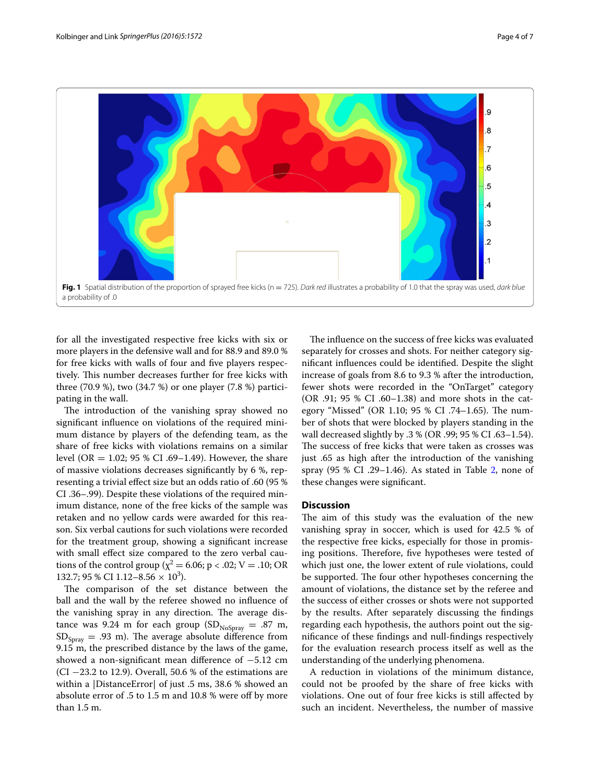

<span id="page-3-0"></span>for all the investigated respective free kicks with six or more players in the defensive wall and for 88.9 and 89.0 % for free kicks with walls of four and five players respectively. This number decreases further for free kicks with three (70.9 %), two (34.7 %) or one player (7.8 %) participating in the wall.

The introduction of the vanishing spray showed no significant influence on violations of the required minimum distance by players of the defending team, as the share of free kicks with violations remains on a similar level (OR = 1.02; 95 % CI .69–1.49). However, the share of massive violations decreases significantly by 6 %, representing a trivial effect size but an odds ratio of .60 (95 % CI .36–.99). Despite these violations of the required minimum distance, none of the free kicks of the sample was retaken and no yellow cards were awarded for this reason. Six verbal cautions for such violations were recorded for the treatment group, showing a significant increase with small effect size compared to the zero verbal cautions of the control group ( $\chi^2$  = 6.06; p < .02; V = .10; OR 132.7; 95 % CI 1.12–8.56  $\times$  10<sup>3</sup>).

The comparison of the set distance between the ball and the wall by the referee showed no influence of the vanishing spray in any direction. The average distance was 9.24 m for each group ( $SD<sub>NoSpray</sub> = .87$  m,  $SD<sub>Sprav</sub> = .93$  m). The average absolute difference from 9.15 m, the prescribed distance by the laws of the game, showed a non-significant mean difference of −5.12 cm (CI  $-23.2$  to 12.9). Overall, 50.6 % of the estimations are within a |DistanceError| of just .5 ms, 38.6 % showed an absolute error of .5 to 1.5 m and 10.8 % were off by more than 1.5 m.

The influence on the success of free kicks was evaluated separately for crosses and shots. For neither category significant influences could be identified. Despite the slight increase of goals from 8.6 to 9.3 % after the introduction, fewer shots were recorded in the "OnTarget" category (OR .91; 95 % CI .60–1.38) and more shots in the category "Missed" (OR 1.10; 95 % CI .74-1.65). The number of shots that were blocked by players standing in the wall decreased slightly by .3 % (OR .99; 95 % CI .63–1.54). The success of free kicks that were taken as crosses was just .65 as high after the introduction of the vanishing spray (95 % CI .29–1.46). As stated in Table [2](#page-4-0), none of these changes were significant.

#### **Discussion**

The aim of this study was the evaluation of the new vanishing spray in soccer, which is used for 42.5 % of the respective free kicks, especially for those in promising positions. Therefore, five hypotheses were tested of which just one, the lower extent of rule violations, could be supported. The four other hypotheses concerning the amount of violations, the distance set by the referee and the success of either crosses or shots were not supported by the results. After separately discussing the findings regarding each hypothesis, the authors point out the significance of these findings and null-findings respectively for the evaluation research process itself as well as the understanding of the underlying phenomena.

A reduction in violations of the minimum distance, could not be proofed by the share of free kicks with violations. One out of four free kicks is still affected by such an incident. Nevertheless, the number of massive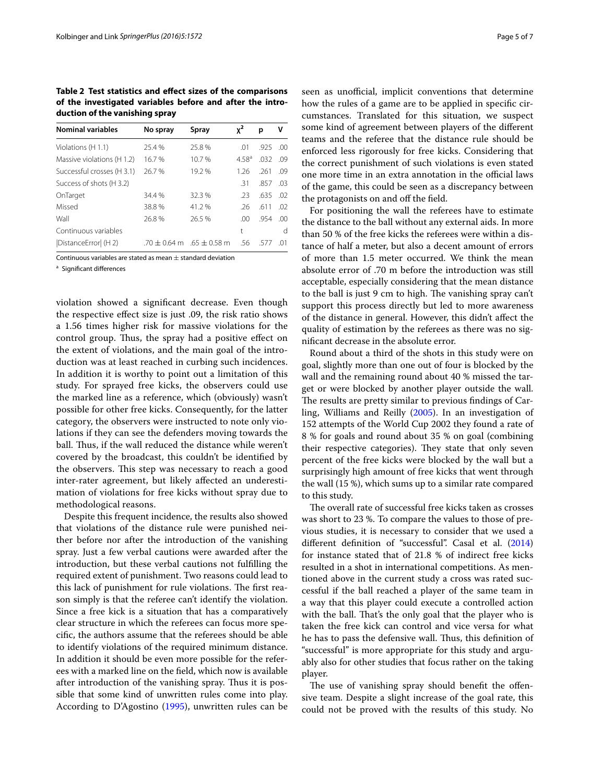<span id="page-4-0"></span>**Table 2 Test statistics and effect sizes of the comparisons of the investigated variables before and after the introduction of the vanishing spray**

| <b>Nominal variables</b>   | No spray         | Spray            | $x^2$      | р    | v   |
|----------------------------|------------------|------------------|------------|------|-----|
| Violations (H 1.1)         | 25.4 %           | 25.8%            | .01        | 925  | .00 |
| Massive violations (H 1.2) | 16.7 %           | 10.7%            | $4.58^{a}$ | .032 | .09 |
| Successful crosses (H 3.1) | 26.7%            | 19.2%            | 1.26       | .261 | .09 |
| Success of shots (H 3.2)   |                  |                  | .31        | .857 | .03 |
| OnTarget                   | 34.4 %           | 32.3%            | .23        | .635 | .02 |
| Missed                     | 38.8%            | 41.2%            | .26        | 611  | .02 |
| Wall                       | 26.8%            | 26.5%            | .00        | .954 | .00 |
| Continuous variables       |                  |                  | t          |      | d   |
| Distance Error (H2)        | $.70 \pm 0.64$ m | $.65 \pm 0.58$ m | .56        | 5/7  | 01  |

Continuous variables are stated as mean  $\pm$  standard deviation

<sup>a</sup> Significant differences

violation showed a significant decrease. Even though the respective effect size is just .09, the risk ratio shows a 1.56 times higher risk for massive violations for the control group. Thus, the spray had a positive effect on the extent of violations, and the main goal of the introduction was at least reached in curbing such incidences. In addition it is worthy to point out a limitation of this study. For sprayed free kicks, the observers could use the marked line as a reference, which (obviously) wasn't possible for other free kicks. Consequently, for the latter category, the observers were instructed to note only violations if they can see the defenders moving towards the ball. Thus, if the wall reduced the distance while weren't covered by the broadcast, this couldn't be identified by the observers. This step was necessary to reach a good inter-rater agreement, but likely affected an underestimation of violations for free kicks without spray due to methodological reasons.

Despite this frequent incidence, the results also showed that violations of the distance rule were punished neither before nor after the introduction of the vanishing spray. Just a few verbal cautions were awarded after the introduction, but these verbal cautions not fulfilling the required extent of punishment. Two reasons could lead to this lack of punishment for rule violations. The first reason simply is that the referee can't identify the violation. Since a free kick is a situation that has a comparatively clear structure in which the referees can focus more specific, the authors assume that the referees should be able to identify violations of the required minimum distance. In addition it should be even more possible for the referees with a marked line on the field, which now is available after introduction of the vanishing spray. Thus it is possible that some kind of unwritten rules come into play. According to D'Agostino ([1995](#page-6-15)), unwritten rules can be seen as unofficial, implicit conventions that determine how the rules of a game are to be applied in specific circumstances. Translated for this situation, we suspect some kind of agreement between players of the different teams and the referee that the distance rule should be enforced less rigorously for free kicks. Considering that the correct punishment of such violations is even stated one more time in an extra annotation in the official laws of the game, this could be seen as a discrepancy between the protagonists on and off the field.

For positioning the wall the referees have to estimate the distance to the ball without any external aids. In more than 50 % of the free kicks the referees were within a distance of half a meter, but also a decent amount of errors of more than 1.5 meter occurred. We think the mean absolute error of .70 m before the introduction was still acceptable, especially considering that the mean distance to the ball is just 9 cm to high. The vanishing spray can't support this process directly but led to more awareness of the distance in general. However, this didn't affect the quality of estimation by the referees as there was no significant decrease in the absolute error.

Round about a third of the shots in this study were on goal, slightly more than one out of four is blocked by the wall and the remaining round about 40 % missed the target or were blocked by another player outside the wall. The results are pretty similar to previous findings of Carling, Williams and Reilly [\(2005\)](#page-5-4). In an investigation of 152 attempts of the World Cup 2002 they found a rate of 8 % for goals and round about 35 % on goal (combining their respective categories). They state that only seven percent of the free kicks were blocked by the wall but a surprisingly high amount of free kicks that went through the wall (15 %), which sums up to a similar rate compared to this study.

The overall rate of successful free kicks taken as crosses was short to 23 %. To compare the values to those of previous studies, it is necessary to consider that we used a different definition of "successful". Casal et al. ([2014](#page-5-5)) for instance stated that of 21.8 % of indirect free kicks resulted in a shot in international competitions. As mentioned above in the current study a cross was rated successful if the ball reached a player of the same team in a way that this player could execute a controlled action with the ball. That's the only goal that the player who is taken the free kick can control and vice versa for what he has to pass the defensive wall. Thus, this definition of "successful" is more appropriate for this study and arguably also for other studies that focus rather on the taking player.

The use of vanishing spray should benefit the offensive team. Despite a slight increase of the goal rate, this could not be proved with the results of this study. No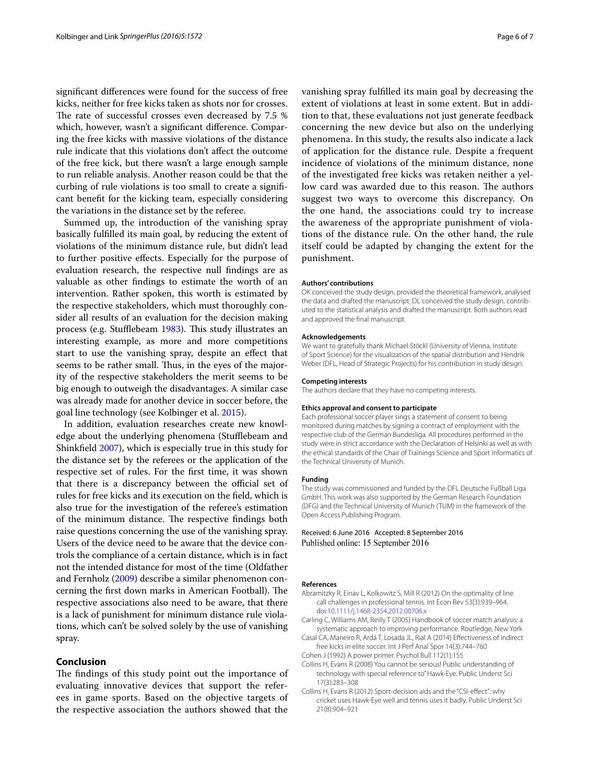significant differences were found for the success of free kicks, neither for free kicks taken as shots nor for crosses. The rate of successful crosses even decreased by 7.5 % which, however, wasn't a significant difference. Comparing the free kicks with massive violations of the distance rule indicate that this violations don't affect the outcome of the free kick, but there wasn't a large enough sample to run reliable analysis. Another reason could be that the curbing of rule violations is too small to create a significant benefit for the kicking team, especially considering the variations in the distance set by the referee.

Summed up, the introduction of the vanishing spray basically fulfilled its main goal, by reducing the extent of violations of the minimum distance rule, but didn't lead to further positive effects. Especially for the purpose of evaluation research, the respective null findings are as valuable as other findings to estimate the worth of an intervention. Rather spoken, this worth is estimated by the respective stakeholders, which must thoroughly consider all results of an evaluation for the decision making process (e.g. Stufflebeam [1983\)](#page-6-16). This study illustrates an interesting example, as more and more competitions start to use the vanishing spray, despite an effect that seems to be rather small. Thus, in the eyes of the majority of the respective stakeholders the merit seems to be big enough to outweigh the disadvantages. A similar case was already made for another device in soccer before, the goal line technology (see Kolbinger et al. [2015](#page-6-10)).

In addition, evaluation researches create new knowledge about the underlying phenomena (Stufflebeam and Shinkfield [2007](#page-6-7)), which is especially true in this study for the distance set by the referees or the application of the respective set of rules. For the first time, it was shown that there is a discrepancy between the official set of rules for free kicks and its execution on the field, which is also true for the investigation of the referee's estimation of the minimum distance. The respective findings both raise questions concerning the use of the vanishing spray. Users of the device need to be aware that the device controls the compliance of a certain distance, which is in fact not the intended distance for most of the time (Oldfather and Fernholz ([2009\)](#page-6-17) describe a similar phenomenon concerning the first down marks in American Football). The respective associations also need to be aware, that there is a lack of punishment for minimum distance rule violations, which can't be solved solely by the use of vanishing spray.

#### **Conclusion**

The findings of this study point out the importance of evaluating innovative devices that support the referees in game sports. Based on the objective targets of the respective association the authors showed that the

vanishing spray fulfilled its main goal by decreasing the extent of violations at least in some extent. But in addition to that, these evaluations not just generate feedback concerning the new device but also on the underlying phenomena. In this study, the results also indicate a lack of application for the distance rule. Despite a frequent incidence of violations of the minimum distance, none of the investigated free kicks was retaken neither a yellow card was awarded due to this reason. The authors suggest two ways to overcome this discrepancy. On the one hand, the associations could try to increase the awareness of the appropriate punishment of violations of the distance rule. On the other hand, the rule itself could be adapted by changing the extent for the punishment.

#### **Authors' contributions**

OK conceived the study design, provided the theoretical framework, analysed the data and drafted the manuscript. DL conceived the study design, contributed to the statistical analysis and drafted the manuscript. Both authors read and approved the final manuscript.

#### **Acknowledgements**

We want to gratefully thank Michael Stöckl (University of Vienna, Institute of Sport Science) for the visualization of the spatial distribution and Hendrik Weber (DFL, Head of Strategic Projects) for his contribution in study design.

#### **Competing interests**

The authors declare that they have no competing interests.

#### **Ethics approval and consent to participate**

Each professional soccer player sings a statement of consent to being monitored during matches by signing a contract of employment with the respective club of the German Bundesliga. All procedures performed in the study were in strict accordance with the Declaration of Helsinki as well as with the ethical standards of the Chair of Trainings Science and Sport Informatics of the Technical University of Munich.

#### **Funding**

The study was commissioned and funded by the DFL Deutsche Fußball Liga GmbH. This work was also supported by the German Research Foundation (DFG) and the Technical University of Munich (TUM) in the framework of the Open Access Publishing Program.

#### Received: 6 June 2016 Accepted: 8 September 2016 Published online: 15 September 2016

#### **References**

- <span id="page-5-2"></span>Abramitzky R, Einav L, Kolkowitz S, Mill R (2012) On the optimality of line call challenges in professional tennis. Int Econ Rev 53(3):939–964. doi:[10.1111/j.1468-2354.2012.00706.x](http://dx.doi.org/10.1111/j.1468-2354.2012.00706.x)
- <span id="page-5-4"></span>Carling C, Williams AM, Reilly T (2005) Handbook of soccer match analysis: a systematic approach to improving performance. Routledge, New York
- <span id="page-5-5"></span>Casal CA, Maneiro R, Ardá T, Losada JL, Rial A (2014) Effectiveness of indirect free kicks in elite soccer. Int J Perf Anal Spor 14(3):744–760
- <span id="page-5-3"></span>Cohen J (1992) A power primer. Psychol Bull 112(1):155
- <span id="page-5-0"></span>Collins H, Evans R (2008) You cannot be serious! Public understanding of technology with special reference to" Hawk-Eye. Public Underst Sci 17(3):283–308
- <span id="page-5-1"></span>Collins H, Evans R (2012) Sport-decision aids and the "CSI-effect": why cricket uses Hawk-Eye well and tennis uses it badly. Public Underst Sci 21(8):904–921